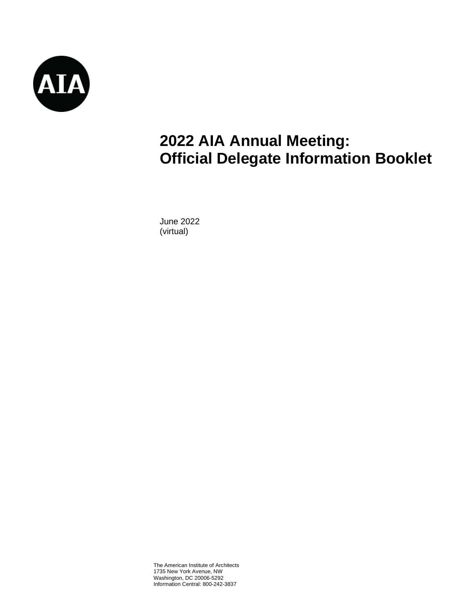

# **2022 AIA Annual Meeting: Official Delegate Information Booklet**

June 2022 (virtual)

The American Institute of Architects 1735 New York Avenue, NW Washington, DC 20006-5292 Information Central: 800-242-3837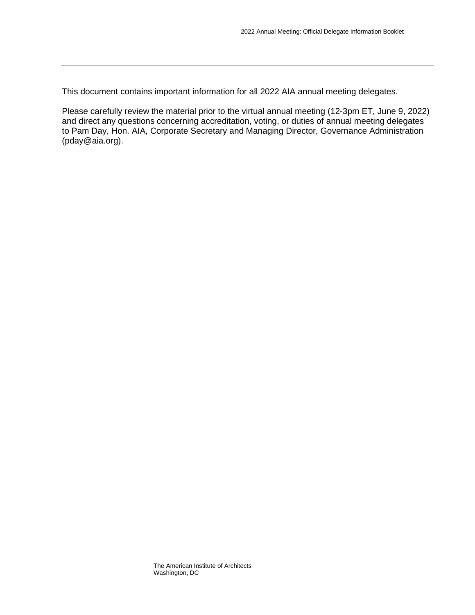This document contains important information for all 2022 AIA annual meeting delegates.

Please carefully review the material prior to the virtual annual meeting (12-3pm ET, June 9, 2022) and direct any questions concerning accreditation, voting, or duties of annual meeting delegates to Pam Day, Hon. AIA, Corporate Secretary and Managing Director, Governance Administration (pday@aia.org).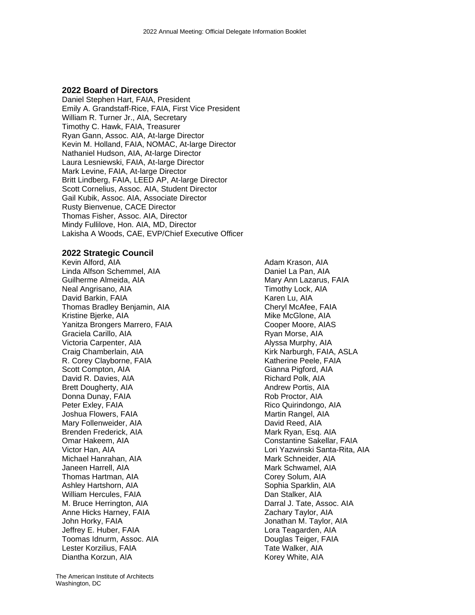### **2022 Board of Directors**

Daniel Stephen Hart, FAIA, President Emily A. Grandstaff-Rice, FAIA, First Vice President William R. Turner Jr., AIA, Secretary Timothy C. Hawk, FAIA, Treasurer Ryan Gann, Assoc. AIA, At-large Director Kevin M. Holland, FAIA, NOMAC, At-large Director Nathaniel Hudson, AIA, At-large Director Laura Lesniewski, FAIA, At-large Director Mark Levine, FAIA, At-large Director Britt Lindberg, FAIA, LEED AP, At-large Director Scott Cornelius, Assoc. AIA, Student Director Gail Kubik, Assoc. AIA, Associate Director Rusty Bienvenue, CACE Director Thomas Fisher, Assoc. AIA, Director Mindy Fullilove, Hon. AIA, MD, Director Lakisha A Woods, CAE, EVP/Chief Executive Officer

### **2022 Strategic Council**

Kevin Alford, AIA Linda Alfson Schemmel, AIA Guilherme Almeida, AIA Neal Angrisano, AIA David Barkin, FAIA Thomas Bradley Benjamin, AIA Kristine Bjerke, AIA Yanitza Brongers Marrero, FAIA Graciela Carillo, AIA Victoria Carpenter, AIA Craig Chamberlain, AIA R. Corey Clayborne, FAIA Scott Compton, AIA David R. Davies, AIA Brett Dougherty, AIA Donna Dunay, FAIA Peter Exley, FAIA Joshua Flowers, FAIA Mary Follenweider, AIA Brenden Frederick, AIA Omar Hakeem, AIA Victor Han, AIA Michael Hanrahan, AIA Janeen Harrell, AIA Thomas Hartman, AIA Ashley Hartshorn, AIA William Hercules, FAIA M. Bruce Herrington, AIA Anne Hicks Harney, FAIA John Horky, FAIA Jeffrey E. Huber, FAIA Toomas Idnurm, Assoc. AIA Lester Korzilius, FAIA Diantha Korzun, AIA

Adam Krason, AIA Daniel La Pan, AIA Mary Ann Lazarus, FAIA Timothy Lock, AIA Karen Lu, AIA Cheryl McAfee, FAIA Mike McGlone, AIA Cooper Moore, AIAS Ryan Morse, AIA Alyssa Murphy, AIA Kirk Narburgh, FAIA, ASLA Katherine Peele, FAIA Gianna Pigford, AIA Richard Polk, AIA Andrew Portis, AIA Rob Proctor, AIA Rico Quirindongo, AIA Martin Rangel, AIA David Reed, AIA Mark Ryan, Esq. AIA Constantine Sakellar, FAIA Lori Yazwinski Santa-Rita, AIA Mark Schneider, AIA Mark Schwamel, AIA Corey Solum, AIA Sophia Sparklin, AIA Dan Stalker, AIA Darral J. Tate, Assoc. AIA Zachary Taylor, AIA Jonathan M. Taylor, AIA Lora Teagarden, AIA Douglas Teiger, FAIA Tate Walker, AIA Korey White, AIA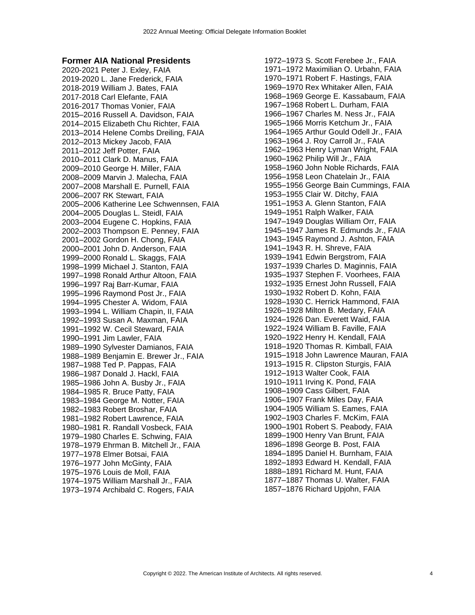#### **Former AIA National Presidents**

2020-2021 Peter J. Exley, FAIA 2019-2020 L. Jane Frederick, FAIA 2018-2019 William J. Bates, FAIA 2017-2018 Carl Elefante, FAIA 2016-2017 Thomas Vonier, FAIA 2015–2016 Russell A. Davidson, FAIA 2014–2015 Elizabeth Chu Richter, FAIA 2013–2014 Helene Combs Dreiling, FAIA 2012–2013 Mickey Jacob, FAIA 2011–2012 Jeff Potter, FAIA 2010–2011 Clark D. Manus, FAIA 2009–2010 George H. Miller, FAIA 2008–2009 Marvin J. Malecha, FAIA 2007–2008 Marshall E. Purnell, FAIA 2006–2007 RK Stewart, FAIA 2005–2006 Katherine Lee Schwennsen, FAIA 2004–2005 Douglas L. Steidl, FAIA 2003–2004 Eugene C. Hopkins, FAIA 2002–2003 Thompson E. Penney, FAIA 2001–2002 Gordon H. Chong, FAIA 2000–2001 John D. Anderson, FAIA 1999–2000 Ronald L. Skaggs, FAIA 1998–1999 Michael J. Stanton, FAIA 1997–1998 Ronald Arthur Altoon, FAIA 1996–1997 Raj Barr-Kumar, FAIA 1995–1996 Raymond Post Jr., FAIA 1994–1995 Chester A. Widom, FAIA 1993–1994 L. William Chapin, II, FAIA 1992–1993 Susan A. Maxman, FAIA 1991–1992 W. Cecil Steward, FAIA 1990–1991 Jim Lawler, FAIA 1989–1990 Sylvester Damianos, FAIA 1988–1989 Benjamin E. Brewer Jr., FAIA 1987–1988 Ted P. Pappas, FAIA 1986–1987 Donald J. Hackl, FAIA 1985–1986 John A. Busby Jr., FAIA 1984–1985 R. Bruce Patty, FAIA 1983–1984 George M. Notter, FAIA 1982–1983 Robert Broshar, FAIA 1981–1982 Robert Lawrence, FAIA 1980–1981 R. Randall Vosbeck, FAIA 1979–1980 Charles E. Schwing, FAIA 1978–1979 Ehrman B. Mitchell Jr., FAIA 1977–1978 Elmer Botsai, FAIA 1976–1977 John McGinty, FAIA 1975–1976 Louis de Moll, FAIA 1974–1975 William Marshall Jr., FAIA 1973–1974 Archibald C. Rogers, FAIA

1972–1973 S. Scott Ferebee Jr., FAIA 1971–1972 Maximilian O. Urbahn, FAIA 1970–1971 Robert F. Hastings, FAIA 1969–1970 Rex Whitaker Allen, FAIA 1968–1969 George E. Kassabaum, FAIA 1967–1968 Robert L. Durham, FAIA 1966–1967 Charles M. Ness Jr., FAIA 1965–1966 Morris Ketchum Jr., FAIA 1964–1965 Arthur Gould Odell Jr., FAIA 1963–1964 J. Roy Carroll Jr., FAIA 1962–1963 Henry Lyman Wright, FAIA 1960–1962 Philip Will Jr., FAIA 1958–1960 John Noble Richards, FAIA 1956–1958 Leon Chatelain Jr., FAIA 1955–1956 George Bain Cummings, FAIA 1953–1955 Clair W. Ditchy, FAIA 1951–1953 A. Glenn Stanton, FAIA 1949–1951 Ralph Walker, FAIA 1947–1949 Douglas William Orr, FAIA 1945–1947 James R. Edmunds Jr., FAIA 1943–1945 Raymond J. Ashton, FAIA 1941–1943 R. H. Shreve, FAIA 1939–1941 Edwin Bergstrom, FAIA 1937–1939 Charles D. Maginnis, FAIA 1935–1937 Stephen F. Voorhees, FAIA 1932–1935 Ernest John Russell, FAIA 1930–1932 Robert D. Kohn, FAIA 1928–1930 C. Herrick Hammond, FAIA 1926–1928 Milton B. Medary, FAIA 1924–1926 Dan. Everett Waid, FAIA 1922–1924 William B. Faville, FAIA 1920–1922 Henry H. Kendall, FAIA 1918–1920 Thomas R. Kimball, FAIA 1915–1918 John Lawrence Mauran, FAIA 1913–1915 R. Clipston Sturgis, FAIA 1912–1913 Walter Cook, FAIA 1910–1911 Irving K. Pond, FAIA 1908–1909 Cass Gilbert, FAIA 1906–1907 Frank Miles Day, FAIA 1904–1905 William S. Eames, FAIA 1902–1903 Charles F. McKim, FAIA 1900–1901 Robert S. Peabody, FAIA 1899–1900 Henry Van Brunt, FAIA 1896–1898 George B. Post, FAIA 1894–1895 Daniel H. Burnham, FAIA 1892–1893 Edward H. Kendall, FAIA 1888–1891 Richard M. Hunt, FAIA 1877–1887 Thomas U. Walter, FAIA 1857–1876 Richard Upjohn, FAIA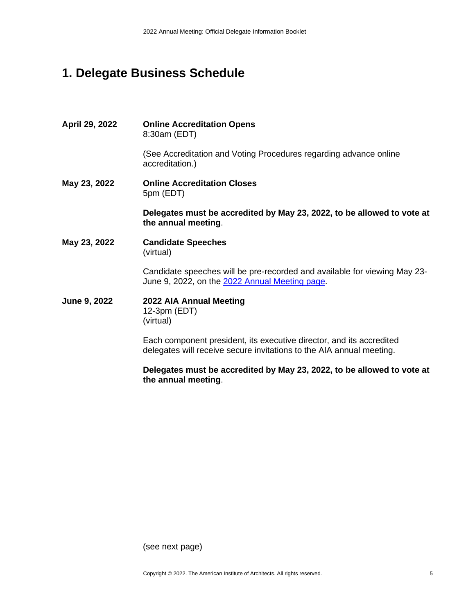# **1. Delegate Business Schedule**

| April 29, 2022 | <b>Online Accreditation Opens</b><br>8:30am (EDT)                                                                                            |
|----------------|----------------------------------------------------------------------------------------------------------------------------------------------|
|                | (See Accreditation and Voting Procedures regarding advance online<br>accreditation.)                                                         |
| May 23, 2022   | <b>Online Accreditation Closes</b><br>5pm (EDT)                                                                                              |
|                | Delegates must be accredited by May 23, 2022, to be allowed to vote at<br>the annual meeting.                                                |
| May 23, 2022   | <b>Candidate Speeches</b><br>(virtual)                                                                                                       |
|                | Candidate speeches will be pre-recorded and available for viewing May 23-<br>June 9, 2022, on the 2022 Annual Meeting page.                  |
| June 9, 2022   | 2022 AIA Annual Meeting<br>12-3pm (EDT)<br>(virtual)                                                                                         |
|                | Each component president, its executive director, and its accredited<br>delegates will receive secure invitations to the AIA annual meeting. |

**Delegates must be accredited by May 23, 2022, to be allowed to vote at the annual meeting**.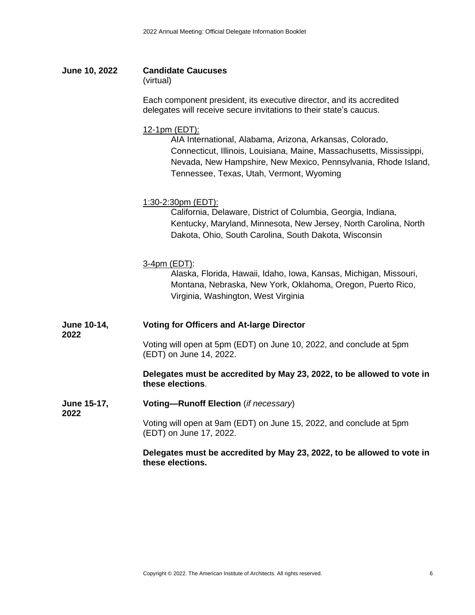**June 10, 2022 Candidate Caucuses**

(virtual)

Each component president, its executive director, and its accredited delegates will receive secure invitations to their state's caucus.

### 12-1pm (EDT):

AIA International, Alabama, Arizona, Arkansas, Colorado, Connecticut, Illinois, Louisiana, Maine, Massachusetts, Mississippi, Nevada, New Hampshire, New Mexico, Pennsylvania, Rhode Island, Tennessee, Texas, Utah, Vermont, Wyoming

### 1:30-2:30pm (EDT):

California, Delaware, District of Columbia, Georgia, Indiana, Kentucky, Maryland, Minnesota, New Jersey, North Carolina, North Dakota, Ohio, South Carolina, South Dakota, Wisconsin

### 3-4pm (EDT):

Alaska, Florida, Hawaii, Idaho, Iowa, Kansas, Michigan, Missouri, Montana, Nebraska, New York, Oklahoma, Oregon, Puerto Rico, Virginia, Washington, West Virginia

**June 10-14, Voting for Officers and At-large Director**

**2022**

**2022**

Voting will open at 5pm (EDT) on June 10, 2022, and conclude at 5pm (EDT) on June 14, 2022.

### **Delegates must be accredited by May 23, 2022, to be allowed to vote in these elections**.

**June 15-17, Voting—Runoff Election** (*if necessary*)

> Voting will open at 9am (EDT) on June 15, 2022, and conclude at 5pm (EDT) on June 17, 2022.

**Delegates must be accredited by May 23, 2022, to be allowed to vote in these elections.**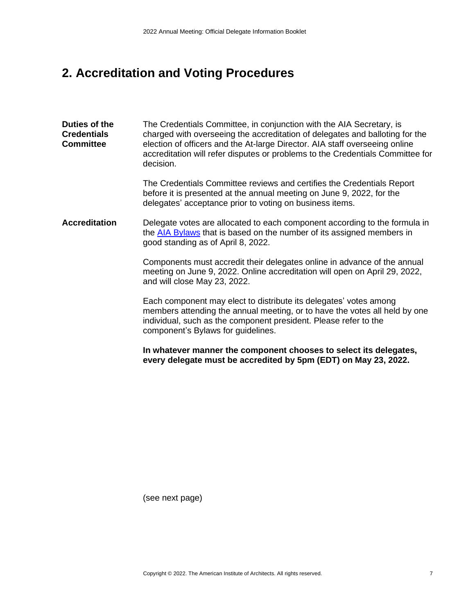# **2. Accreditation and Voting Procedures**

**Duties of the Credentials Committee** The Credentials Committee, in conjunction with the AIA Secretary, is charged with overseeing the accreditation of delegates and balloting for the election of officers and the At-large Director. AIA staff overseeing online accreditation will refer disputes or problems to the Credentials Committee for decision.

> The Credentials Committee reviews and certifies the Credentials Report before it is presented at the annual meeting on June 9, 2022, for the delegates' acceptance prior to voting on business items.

### **Accreditation** Delegate votes are allocated to each component according to the formula in the [AIA Bylaws](https://content.aia.org/sites/default/files/2021-06/AIA_Bylaws_June_2021.pdf) that is based on the number of its assigned members in good standing as of April 8, 2022.

Components must accredit their delegates online in advance of the annual meeting on June 9, 2022. Online accreditation will open on April 29, 2022, and will close May 23, 2022.

Each component may elect to distribute its delegates' votes among members attending the annual meeting, or to have the votes all held by one individual, such as the component president. Please refer to the component's Bylaws for guidelines.

**In whatever manner the component chooses to select its delegates, every delegate must be accredited by 5pm (EDT) on May 23, 2022.**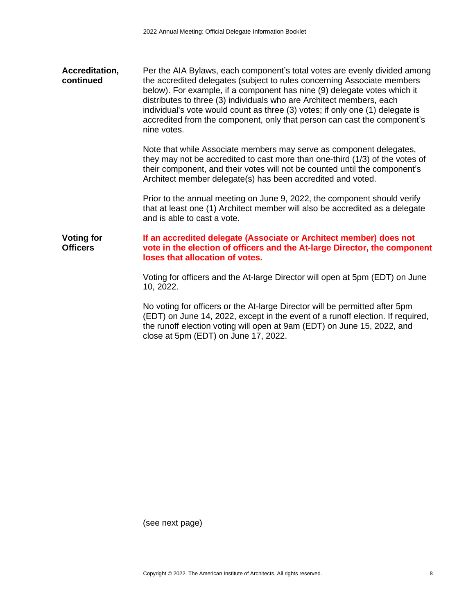| Accreditation,<br>continued | Per the AIA Bylaws, each component's total votes are evenly divided among<br>the accredited delegates (subject to rules concerning Associate members<br>below). For example, if a component has nine (9) delegate votes which it<br>distributes to three (3) individuals who are Architect members, each<br>individual's vote would count as three (3) votes; if only one (1) delegate is<br>accredited from the component, only that person can cast the component's |
|-----------------------------|-----------------------------------------------------------------------------------------------------------------------------------------------------------------------------------------------------------------------------------------------------------------------------------------------------------------------------------------------------------------------------------------------------------------------------------------------------------------------|
|                             | nine votes.                                                                                                                                                                                                                                                                                                                                                                                                                                                           |

Note that while Associate members may serve as component delegates, they may not be accredited to cast more than one-third (1/3) of the votes of their component, and their votes will not be counted until the component's Architect member delegate(s) has been accredited and voted.

Prior to the annual meeting on June 9, 2022, the component should verify that at least one (1) Architect member will also be accredited as a delegate and is able to cast a vote.

#### **Voting for Officers If an accredited delegate (Associate or Architect member) does not vote in the election of officers and the At-large Director, the component loses that allocation of votes.**

Voting for officers and the At-large Director will open at 5pm (EDT) on June 10, 2022.

No voting for officers or the At-large Director will be permitted after 5pm (EDT) on June 14, 2022, except in the event of a runoff election. If required, the runoff election voting will open at 9am (EDT) on June 15, 2022, and close at 5pm (EDT) on June 17, 2022.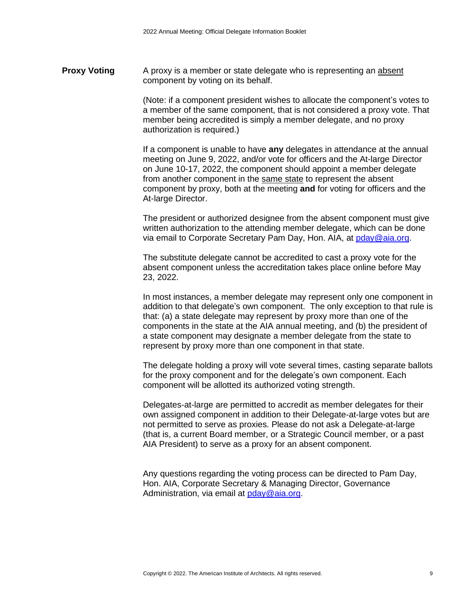**Proxy Voting** A proxy is a member or state delegate who is representing an absent component by voting on its behalf.

> (Note: if a component president wishes to allocate the component's votes to a member of the same component, that is not considered a proxy vote. That member being accredited is simply a member delegate, and no proxy authorization is required.)

> If a component is unable to have **any** delegates in attendance at the annual meeting on June 9, 2022, and/or vote for officers and the At-large Director on June 10-17, 2022, the component should appoint a member delegate from another component in the same state to represent the absent component by proxy, both at the meeting **and** for voting for officers and the At-large Director.

> The president or authorized designee from the absent component must give written authorization to the attending member delegate, which can be done via email to Corporate Secretary Pam Day, Hon. AIA, at [pday@aia.org.](mailto:pday@aia.org)

The substitute delegate cannot be accredited to cast a proxy vote for the absent component unless the accreditation takes place online before May 23, 2022.

In most instances, a member delegate may represent only one component in addition to that delegate's own component. The only exception to that rule is that: (a) a state delegate may represent by proxy more than one of the components in the state at the AIA annual meeting, and (b) the president of a state component may designate a member delegate from the state to represent by proxy more than one component in that state.

The delegate holding a proxy will vote several times, casting separate ballots for the proxy component and for the delegate's own component. Each component will be allotted its authorized voting strength.

Delegates-at-large are permitted to accredit as member delegates for their own assigned component in addition to their Delegate-at-large votes but are not permitted to serve as proxies. Please do not ask a Delegate-at-large (that is, a current Board member, or a Strategic Council member, or a past AIA President) to serve as a proxy for an absent component.

Any questions regarding the voting process can be directed to Pam Day, Hon. AIA, Corporate Secretary & Managing Director, Governance Administration, via email at [pday@aia.org.](mailto:pday@aia.org)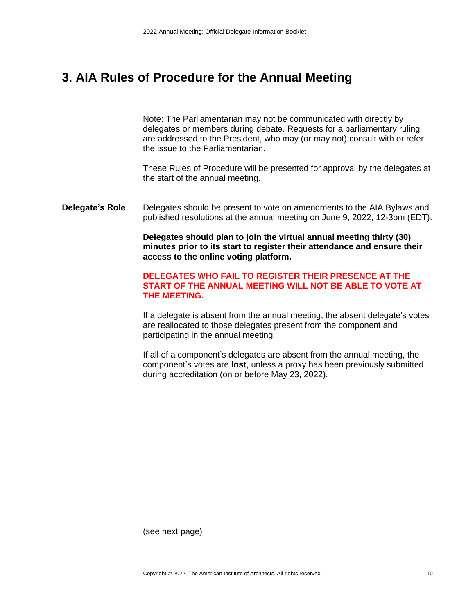### **3. AIA Rules of Procedure for the Annual Meeting**

Note: The Parliamentarian may not be communicated with directly by delegates or members during debate. Requests for a parliamentary ruling are addressed to the President, who may (or may not) consult with or refer the issue to the Parliamentarian.

These Rules of Procedure will be presented for approval by the delegates at the start of the annual meeting.

**Delegate's Role** Delegates should be present to vote on amendments to the AIA Bylaws and published resolutions at the annual meeting on June 9, 2022, 12-3pm (EDT).

> **Delegates should plan to join the virtual annual meeting thirty (30) minutes prior to its start to register their attendance and ensure their access to the online voting platform.**

### **DELEGATES WHO FAIL TO REGISTER THEIR PRESENCE AT THE START OF THE ANNUAL MEETING WILL NOT BE ABLE TO VOTE AT THE MEETING.**

If a delegate is absent from the annual meeting, the absent delegate's votes are reallocated to those delegates present from the component and participating in the annual meeting.

If all of a component's delegates are absent from the annual meeting, the component's votes are **lost**, unless a proxy has been previously submitted during accreditation (on or before May 23, 2022).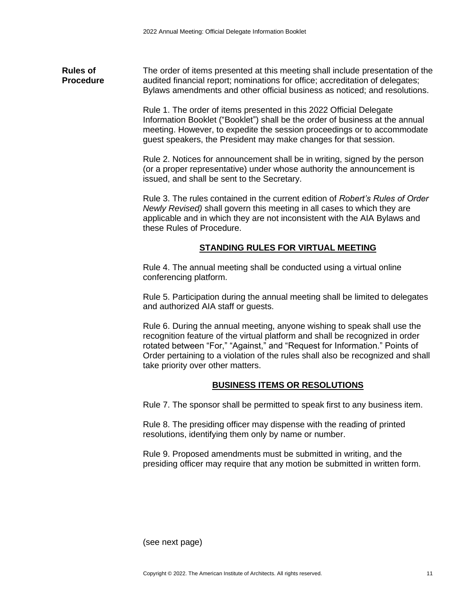**Rules of Procedure** The order of items presented at this meeting shall include presentation of the audited financial report; nominations for office; accreditation of delegates; Bylaws amendments and other official business as noticed; and resolutions.

> Rule 1. The order of items presented in this 2022 Official Delegate Information Booklet ("Booklet") shall be the order of business at the annual meeting. However, to expedite the session proceedings or to accommodate guest speakers, the President may make changes for that session.

Rule 2. Notices for announcement shall be in writing, signed by the person (or a proper representative) under whose authority the announcement is issued, and shall be sent to the Secretary.

Rule 3. The rules contained in the current edition of *Robert's Rules of Order Newly Revised)* shall govern this meeting in all cases to which they are applicable and in which they are not inconsistent with the AIA Bylaws and these Rules of Procedure.

### **STANDING RULES FOR VIRTUAL MEETING**

Rule 4. The annual meeting shall be conducted using a virtual online conferencing platform.

Rule 5. Participation during the annual meeting shall be limited to delegates and authorized AIA staff or guests.

Rule 6. During the annual meeting, anyone wishing to speak shall use the recognition feature of the virtual platform and shall be recognized in order rotated between "For," "Against," and "Request for Information." Points of Order pertaining to a violation of the rules shall also be recognized and shall take priority over other matters.

### **BUSINESS ITEMS OR RESOLUTIONS**

Rule 7. The sponsor shall be permitted to speak first to any business item.

Rule 8. The presiding officer may dispense with the reading of printed resolutions, identifying them only by name or number.

Rule 9. Proposed amendments must be submitted in writing, and the presiding officer may require that any motion be submitted in written form.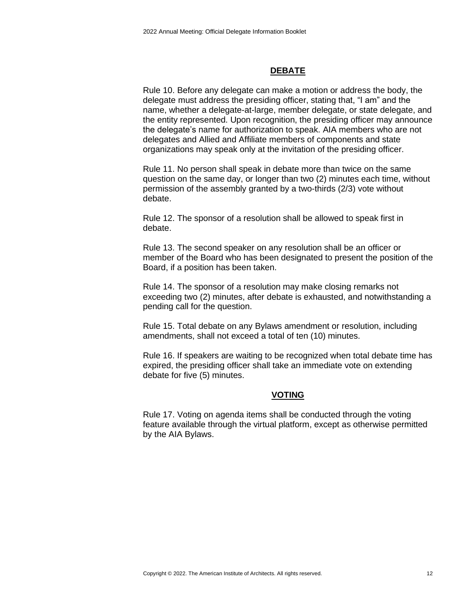### **DEBATE**

Rule 10. Before any delegate can make a motion or address the body, the delegate must address the presiding officer, stating that, "I am" and the name, whether a delegate-at-large, member delegate, or state delegate, and the entity represented. Upon recognition, the presiding officer may announce the delegate's name for authorization to speak. AIA members who are not delegates and Allied and Affiliate members of components and state organizations may speak only at the invitation of the presiding officer.

Rule 11. No person shall speak in debate more than twice on the same question on the same day, or longer than two (2) minutes each time, without permission of the assembly granted by a two-thirds (2/3) vote without debate.

Rule 12. The sponsor of a resolution shall be allowed to speak first in debate.

Rule 13. The second speaker on any resolution shall be an officer or member of the Board who has been designated to present the position of the Board, if a position has been taken.

Rule 14. The sponsor of a resolution may make closing remarks not exceeding two (2) minutes, after debate is exhausted, and notwithstanding a pending call for the question.

Rule 15. Total debate on any Bylaws amendment or resolution, including amendments, shall not exceed a total of ten (10) minutes.

Rule 16. If speakers are waiting to be recognized when total debate time has expired, the presiding officer shall take an immediate vote on extending debate for five (5) minutes.

### **VOTING**

Rule 17. Voting on agenda items shall be conducted through the voting feature available through the virtual platform, except as otherwise permitted by the AIA Bylaws.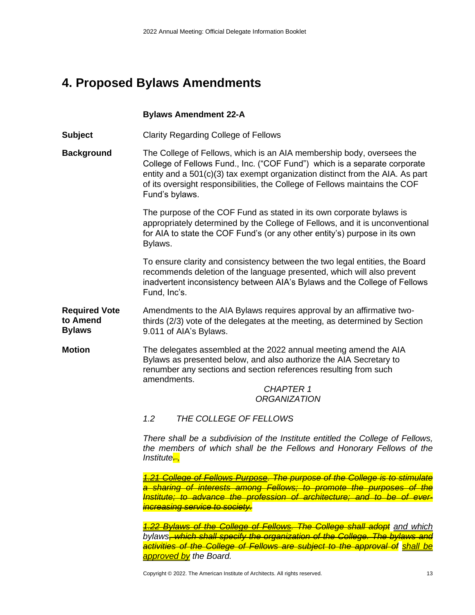# **4. Proposed Bylaws Amendments**

### **Bylaws Amendment 22-A**

**Subject** Clarity Regarding College of Fellows

**Background** The College of Fellows, which is an AIA membership body, oversees the College of Fellows Fund., Inc. ("COF Fund") which is a separate corporate entity and a 501(c)(3) tax exempt organization distinct from the AIA. As part of its oversight responsibilities, the College of Fellows maintains the COF Fund's bylaws.

> The purpose of the COF Fund as stated in its own corporate bylaws is appropriately determined by the College of Fellows, and it is unconventional for AIA to state the COF Fund's (or any other entity's) purpose in its own Bylaws.

> To ensure clarity and consistency between the two legal entities, the Board recommends deletion of the language presented, which will also prevent inadvertent inconsistency between AIA's Bylaws and the College of Fellows Fund, Inc's.

**Required Vote to Amend Bylaws** Amendments to the AIA Bylaws requires approval by an affirmative twothirds (2/3) vote of the delegates at the meeting, as determined by Section 9.011 of AIA's Bylaws.

**Motion The delegates assembled at the 2022 annual meeting amend the AIA** Bylaws as presented below, and also authorize the AIA Secretary to renumber any sections and section references resulting from such amendments.

*CHAPTER 1 ORGANIZATION*

*1.2 THE COLLEGE OF FELLOWS*

*There shall be a subdivision of the Institute entitled the College of Fellows, the members of which shall be the Fellows and Honorary Fellows of the Institute. ,*

*1.21 College of Fellows Purpose. The purpose of the College is to stimulate a sharing of interests among Fellows; to promote the purposes of the Institute; to advance the profession of architecture; and to be of everincreasing service to society.*

*1.22 Bylaws of the College of Fellows. The College shall adopt and which bylaws, which shall specify the organization of the College. The bylaws and activities of the College of Fellows are subject to the approval of shall be approved by the Board.*

Copyright © 2022. The American Institute of Architects. All rights reserved. 13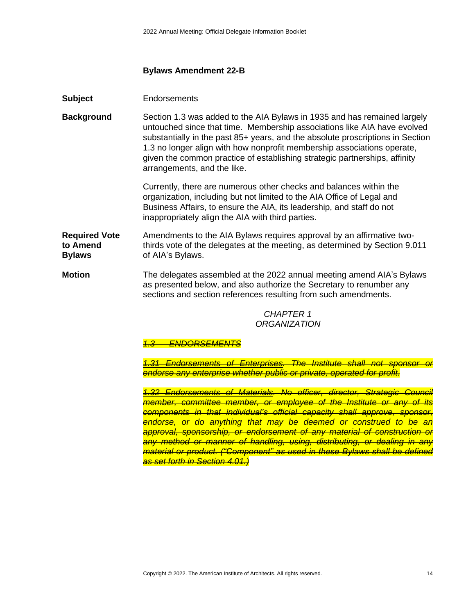### **Bylaws Amendment 22-B**

**Subject** Endorsements

**Background** Section 1.3 was added to the AIA Bylaws in 1935 and has remained largely untouched since that time. Membership associations like AIA have evolved substantially in the past 85+ years, and the absolute proscriptions in Section 1.3 no longer align with how nonprofit membership associations operate, given the common practice of establishing strategic partnerships, affinity arrangements, and the like.

> Currently, there are numerous other checks and balances within the organization, including but not limited to the AIA Office of Legal and Business Affairs, to ensure the AIA, its leadership, and staff do not inappropriately align the AIA with third parties.

**Required Vote to Amend Bylaws** Amendments to the AIA Bylaws requires approval by an affirmative twothirds vote of the delegates at the meeting, as determined by Section 9.011 of AIA's Bylaws.

**Motion** The delegates assembled at the 2022 annual meeting amend AIA's Bylaws as presented below, and also authorize the Secretary to renumber any sections and section references resulting from such amendments.

> *CHAPTER 1 ORGANIZATION*

### *1.3 ENDORSEMENTS*

*1.31 Endorsements of Enterprises. The Institute shall not sponsor or endorse any enterprise whether public or private, operated for profit.*

*1.32 Endorsements of Materials. No officer, director, Strategic Council member, committee member, or employee of the Institute or any of its components in that individual's official capacity shall approve, sponsor, endorse, or do anything that may be deemed or construed to be an approval, sponsorship, or endorsement of any material of construction or any method or manner of handling, using, distributing, or dealing in any material or product. ("Component" as used in these Bylaws shall be defined as set forth in Section 4.01.)*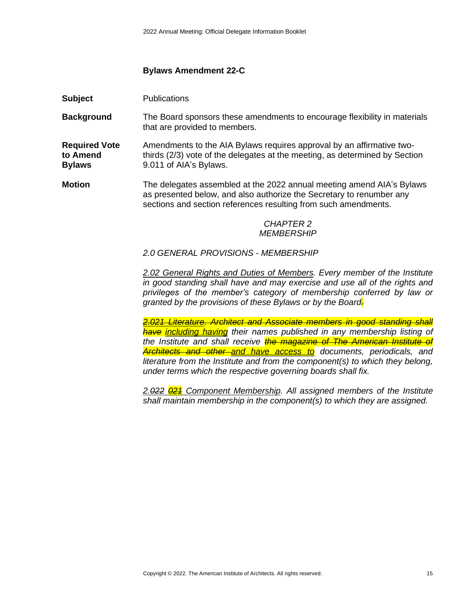### **Bylaws Amendment 22-C**

**Background** The Board sponsors these amendments to encourage flexibility in materials that are provided to members.

**Required Vote to Amend Bylaws** Amendments to the AIA Bylaws requires approval by an affirmative twothirds (2/3) vote of the delegates at the meeting, as determined by Section 9.011 of AIA's Bylaws.

**Motion** The delegates assembled at the 2022 annual meeting amend AIA's Bylaws as presented below, and also authorize the Secretary to renumber any sections and section references resulting from such amendments.

### *CHAPTER 2 MEMBERSHIP*

*2.0 GENERAL PROVISIONS - MEMBERSHIP*

*2.02 General Rights and Duties of Members. Every member of the Institute in good standing shall have and may exercise and use all of the rights and privileges of the member's category of membership conferred by law or granted by the provisions of these Bylaws or by the Board.*

*2.021 Literature. Architect and Associate members in good standing shall have including having their names published in any membership listing of the Institute and shall receive the magazine of The American Institute of Architects and other and have access to documents, periodicals, and literature from the Institute and from the component(s) to which they belong, under terms which the respective governing boards shall fix.*

*2.022 021 Component Membership. All assigned members of the Institute shall maintain membership in the component(s) to which they are assigned.*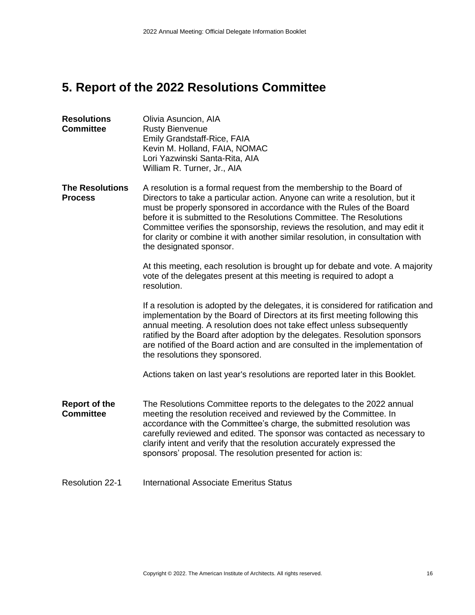# **5. Report of the 2022 Resolutions Committee**

| <b>Resolutions</b><br><b>Committee</b>   | Olivia Asuncion, AIA<br><b>Rusty Bienvenue</b><br>Emily Grandstaff-Rice, FAIA<br>Kevin M. Holland, FAIA, NOMAC<br>Lori Yazwinski Santa-Rita, AIA<br>William R. Turner, Jr., AIA                                                                                                                                                                                                                                                                                                                   |
|------------------------------------------|---------------------------------------------------------------------------------------------------------------------------------------------------------------------------------------------------------------------------------------------------------------------------------------------------------------------------------------------------------------------------------------------------------------------------------------------------------------------------------------------------|
| <b>The Resolutions</b><br><b>Process</b> | A resolution is a formal request from the membership to the Board of<br>Directors to take a particular action. Anyone can write a resolution, but it<br>must be properly sponsored in accordance with the Rules of the Board<br>before it is submitted to the Resolutions Committee. The Resolutions<br>Committee verifies the sponsorship, reviews the resolution, and may edit it<br>for clarity or combine it with another similar resolution, in consultation with<br>the designated sponsor. |
|                                          | At this meeting, each resolution is brought up for debate and vote. A majority<br>vote of the delegates present at this meeting is required to adopt a<br>resolution.                                                                                                                                                                                                                                                                                                                             |
|                                          | If a resolution is adopted by the delegates, it is considered for ratification and<br>implementation by the Board of Directors at its first meeting following this<br>annual meeting. A resolution does not take effect unless subsequently<br>ratified by the Board after adoption by the delegates. Resolution sponsors<br>are notified of the Board action and are consulted in the implementation of<br>the resolutions they sponsored.                                                       |
|                                          | Actions taken on last year's resolutions are reported later in this Booklet.                                                                                                                                                                                                                                                                                                                                                                                                                      |
| <b>Report of the</b><br><b>Committee</b> | The Resolutions Committee reports to the delegates to the 2022 annual<br>meeting the resolution received and reviewed by the Committee. In<br>accordance with the Committee's charge, the submitted resolution was<br>carefully reviewed and edited. The sponsor was contacted as necessary to<br>clarify intent and verify that the resolution accurately expressed the<br>sponsors' proposal. The resolution presented for action is:                                                           |
| <b>Resolution 22-1</b>                   | <b>International Associate Emeritus Status</b>                                                                                                                                                                                                                                                                                                                                                                                                                                                    |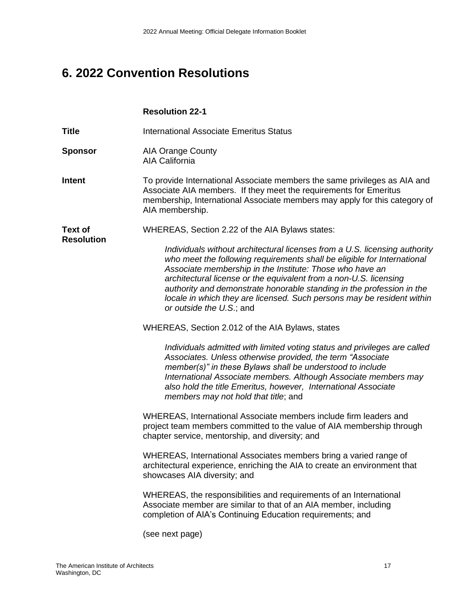# **6. 2022 Convention Resolutions**

### **Resolution 22-1**

**Title International Associate Emeritus Status** 

**Sponsor** AIA Orange County AIA California

**Intent** To provide International Associate members the same privileges as AIA and Associate AIA members. If they meet the requirements for Emeritus membership, International Associate members may apply for this category of AIA membership.

**Text of**  WHEREAS, Section 2.22 of the AIA Bylaws states:

**Resolution**

*Individuals without architectural licenses from a U.S. licensing authority who meet the following requirements shall be eligible for International Associate membership in the Institute: Those who have an architectural license or the equivalent from a non-U.S. licensing authority and demonstrate honorable standing in the profession in the locale in which they are licensed. Such persons may be resident within or outside the U.S*.; and

WHEREAS, Section 2.012 of the AIA Bylaws, states

*Individuals admitted with limited voting status and privileges are called Associates. Unless otherwise provided, the term "Associate member(s)" in these Bylaws shall be understood to include International Associate members. Although Associate members may also hold the title Emeritus, however, International Associate members may not hold that title*; and

WHEREAS, International Associate members include firm leaders and project team members committed to the value of AIA membership through chapter service, mentorship, and diversity; and

WHEREAS, International Associates members bring a varied range of architectural experience, enriching the AIA to create an environment that showcases AIA diversity; and

WHEREAS, the responsibilities and requirements of an International Associate member are similar to that of an AIA member, including completion of AIA's Continuing Education requirements; and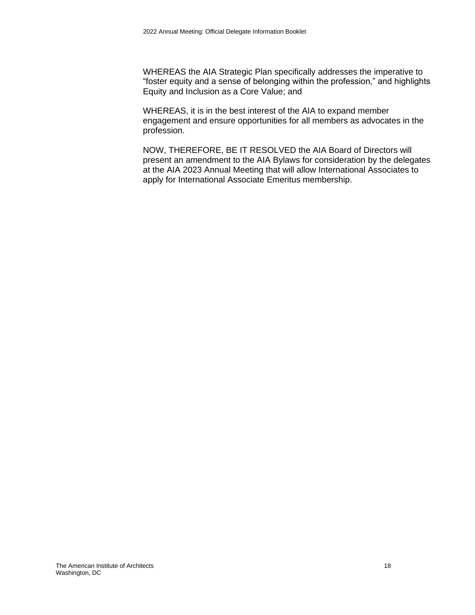WHEREAS the AIA Strategic Plan specifically addresses the imperative to "foster equity and a sense of belonging within the profession," and highlights Equity and Inclusion as a Core Value; and

WHEREAS, it is in the best interest of the AIA to expand member engagement and ensure opportunities for all members as advocates in the profession.

NOW, THEREFORE, BE IT RESOLVED the AIA Board of Directors will present an amendment to the AIA Bylaws for consideration by the delegates at the AIA 2023 Annual Meeting that will allow International Associates to apply for International Associate Emeritus membership.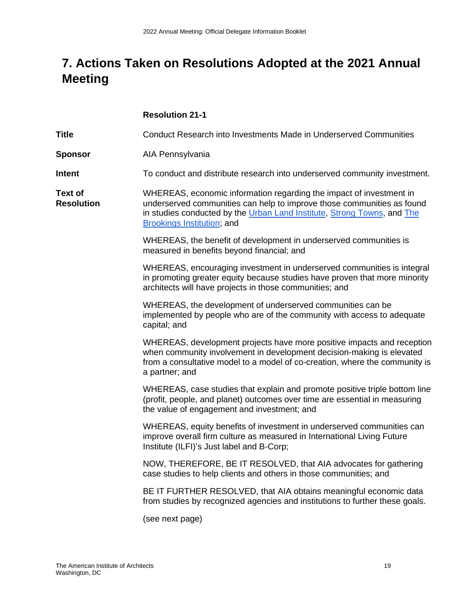# **7. Actions Taken on Resolutions Adopted at the 2021 Annual Meeting**

|                                     | <b>Resolution 21-1</b>                                                                                                                                                                                                                                        |
|-------------------------------------|---------------------------------------------------------------------------------------------------------------------------------------------------------------------------------------------------------------------------------------------------------------|
| <b>Title</b>                        | Conduct Research into Investments Made in Underserved Communities                                                                                                                                                                                             |
| <b>Sponsor</b>                      | AIA Pennsylvania                                                                                                                                                                                                                                              |
| Intent                              | To conduct and distribute research into underserved community investment.                                                                                                                                                                                     |
| <b>Text of</b><br><b>Resolution</b> | WHEREAS, economic information regarding the impact of investment in<br>underserved communities can help to improve those communities as found<br>in studies conducted by the Urban Land Institute, Strong Towns, and The<br><b>Brookings Institution; and</b> |
|                                     | WHEREAS, the benefit of development in underserved communities is<br>measured in benefits beyond financial; and                                                                                                                                               |
|                                     | WHEREAS, encouraging investment in underserved communities is integral<br>in promoting greater equity because studies have proven that more minority<br>architects will have projects in those communities; and                                               |
|                                     | WHEREAS, the development of underserved communities can be<br>implemented by people who are of the community with access to adequate<br>capital; and                                                                                                          |
|                                     | WHEREAS, development projects have more positive impacts and reception<br>when community involvement in development decision-making is elevated<br>from a consultative model to a model of co-creation, where the community is<br>a partner; and              |
|                                     | WHEREAS, case studies that explain and promote positive triple bottom line<br>(profit, people, and planet) outcomes over time are essential in measuring<br>the value of engagement and investment; and                                                       |
|                                     | WHEREAS, equity benefits of investment in underserved communities can<br>improve overall firm culture as measured in International Living Future<br>Institute (ILFI)'s Just label and B-Corp;                                                                 |
|                                     | NOW, THEREFORE, BE IT RESOLVED, that AIA advocates for gathering<br>case studies to help clients and others in those communities; and                                                                                                                         |
|                                     | BE IT FURTHER RESOLVED, that AIA obtains meaningful economic data<br>from studies by recognized agencies and institutions to further these goals.                                                                                                             |
|                                     | (see next page)                                                                                                                                                                                                                                               |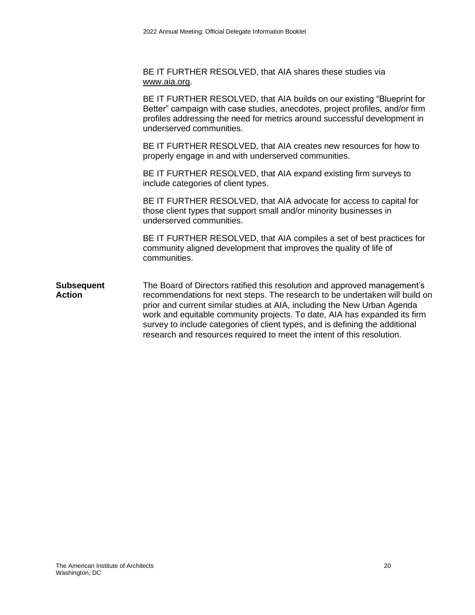BE IT FURTHER RESOLVED, that AIA shares these studies via [www.aia.org.](http://www.aia.org/)

BE IT FURTHER RESOLVED, that AIA builds on our existing "Blueprint for Better" campaign with case studies, anecdotes, project profiles, and/or firm profiles addressing the need for metrics around successful development in underserved communities.

BE IT FURTHER RESOLVED, that AIA creates new resources for how to properly engage in and with underserved communities.

BE IT FURTHER RESOLVED, that AIA expand existing firm surveys to include categories of client types.

BE IT FURTHER RESOLVED, that AIA advocate for access to capital for those client types that support small and/or minority businesses in underserved communities.

BE IT FURTHER RESOLVED, that AIA compiles a set of best practices for community aligned development that improves the quality of life of communities.

**Subsequent Action** The Board of Directors ratified this resolution and approved management's recommendations for next steps. The research to be undertaken will build on prior and current similar studies at AIA, including the New Urban Agenda work and equitable community projects. To date, AIA has expanded its firm survey to include categories of client types, and is defining the additional research and resources required to meet the intent of this resolution.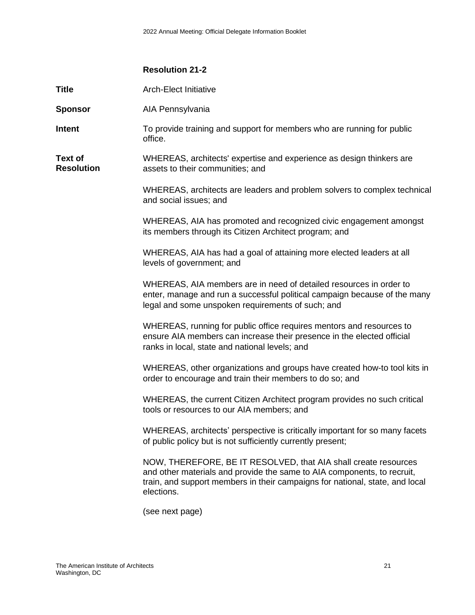### **Resolution 21-2**

**Title Arch-Elect Initiative** 

| <b>Sponsor</b>                      | AIA Pennsylvania                                                                                                                                                                                     |
|-------------------------------------|------------------------------------------------------------------------------------------------------------------------------------------------------------------------------------------------------|
| Intent                              | To provide training and support for members who are running for public<br>office.                                                                                                                    |
| <b>Text of</b><br><b>Resolution</b> | WHEREAS, architects' expertise and experience as design thinkers are<br>assets to their communities; and                                                                                             |
|                                     | WHEREAS, architects are leaders and problem solvers to complex technical<br>and social issues; and                                                                                                   |
|                                     | WHEREAS, AIA has promoted and recognized civic engagement amongst<br>its members through its Citizen Architect program; and                                                                          |
|                                     | WHEREAS, AIA has had a goal of attaining more elected leaders at all<br>levels of government; and                                                                                                    |
|                                     | WHEREAS, AIA members are in need of detailed resources in order to<br>enter, manage and run a successful political campaign because of the many<br>legal and some unspoken requirements of such; and |
|                                     | WHEREAS, running for public office requires mentors and resources to<br>ensure AIA members can increase their presence in the elected official<br>ranks in local, state and national levels; and     |
|                                     | WHEREAS, other organizations and groups have created how-to tool kits in<br>order to encourage and train their members to do so; and                                                                 |
|                                     | WHEREAS, the current Citizen Architect program provides no such critical<br>tools or resources to our AIA members; and                                                                               |
|                                     | WHEREAS, architects' perspective is critically important for so many facets<br>of public policy but is not sufficiently currently present;                                                           |

NOW, THEREFORE, BE IT RESOLVED, that AIA shall create resources and other materials and provide the same to AIA components, to recruit, train, and support members in their campaigns for national, state, and local elections.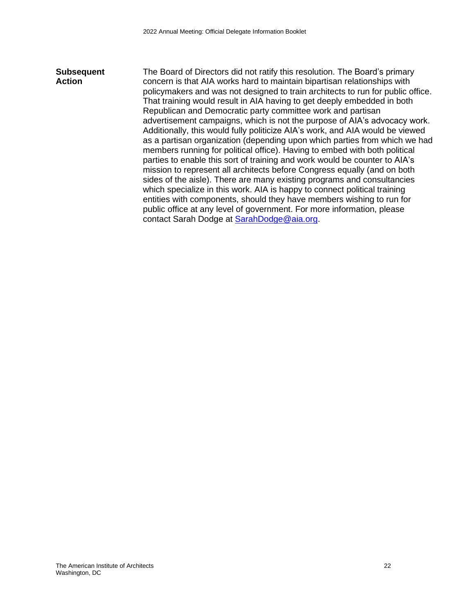### **Subsequent Action** The Board of Directors did not ratify this resolution. The Board's primary concern is that AIA works hard to maintain bipartisan relationships with policymakers and was not designed to train architects to run for public office. That training would result in AIA having to get deeply embedded in both Republican and Democratic party committee work and partisan advertisement campaigns, which is not the purpose of AIA's advocacy work. Additionally, this would fully politicize AIA's work, and AIA would be viewed as a partisan organization (depending upon which parties from which we had members running for political office). Having to embed with both political parties to enable this sort of training and work would be counter to AIA's mission to represent all architects before Congress equally (and on both sides of the aisle). There are many existing programs and consultancies which specialize in this work. AIA is happy to connect political training entities with components, should they have members wishing to run for public office at any level of government. For more information, please contact Sarah Dodge at [SarahDodge@aia.org.](mailto:SarahDodge@aia.org)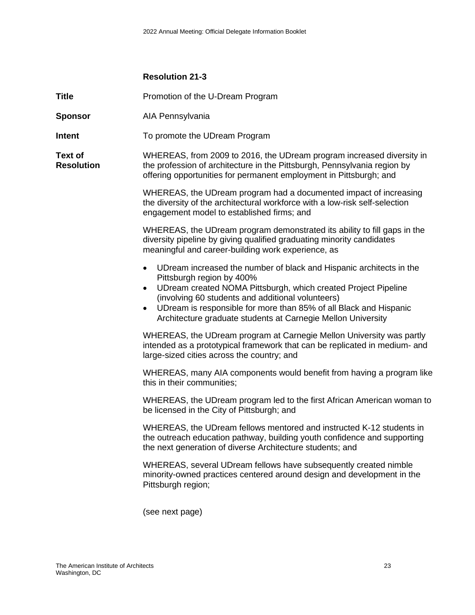### **Resolution 21-3**

**Title** Promotion of the U-Dream Program

- **Sponsor** AIA Pennsylvania
- **Intent** To promote the UDream Program

**Text of Resolution** WHEREAS, from 2009 to 2016, the UDream program increased diversity in the profession of architecture in the Pittsburgh, Pennsylvania region by offering opportunities for permanent employment in Pittsburgh; and

> WHEREAS, the UDream program had a documented impact of increasing the diversity of the architectural workforce with a low-risk self-selection engagement model to established firms; and

WHEREAS, the UDream program demonstrated its ability to fill gaps in the diversity pipeline by giving qualified graduating minority candidates meaningful and career-building work experience, as

- UDream increased the number of black and Hispanic architects in the Pittsburgh region by 400%
- UDream created NOMA Pittsburgh, which created Project Pipeline (involving 60 students and additional volunteers)
- UDream is responsible for more than 85% of all Black and Hispanic Architecture graduate students at Carnegie Mellon University

WHEREAS, the UDream program at Carnegie Mellon University was partly intended as a prototypical framework that can be replicated in medium- and large-sized cities across the country; and

WHEREAS, many AIA components would benefit from having a program like this in their communities;

WHEREAS, the UDream program led to the first African American woman to be licensed in the City of Pittsburgh; and

WHEREAS, the UDream fellows mentored and instructed K-12 students in the outreach education pathway, building youth confidence and supporting the next generation of diverse Architecture students; and

WHEREAS, several UDream fellows have subsequently created nimble minority-owned practices centered around design and development in the Pittsburgh region;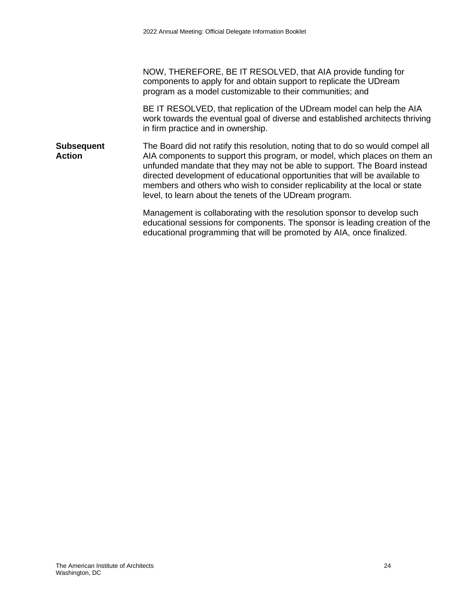NOW, THEREFORE, BE IT RESOLVED, that AIA provide funding for components to apply for and obtain support to replicate the UDream program as a model customizable to their communities; and

BE IT RESOLVED, that replication of the UDream model can help the AIA work towards the eventual goal of diverse and established architects thriving in firm practice and in ownership.

**Subsequent Action** The Board did not ratify this resolution, noting that to do so would compel all AIA components to support this program, or model, which places on them an unfunded mandate that they may not be able to support. The Board instead directed development of educational opportunities that will be available to members and others who wish to consider replicability at the local or state level, to learn about the tenets of the UDream program.

> Management is collaborating with the resolution sponsor to develop such educational sessions for components. The sponsor is leading creation of the educational programming that will be promoted by AIA, once finalized.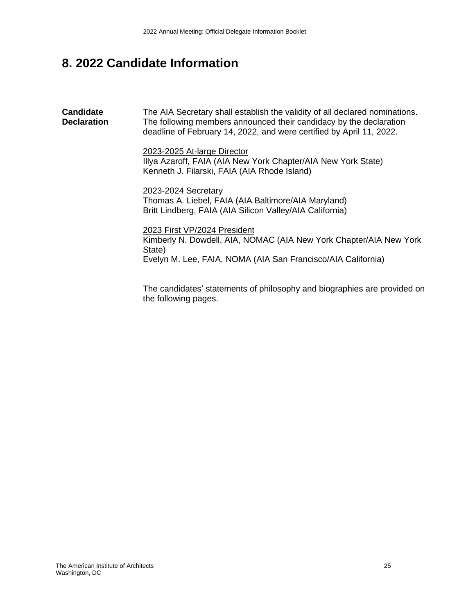# **8. 2022 Candidate Information**

**Candidate Declaration** The AIA Secretary shall establish the validity of all declared nominations. The following members announced their candidacy by the declaration deadline of February 14, 2022, and were certified by April 11, 2022. 2023-2025 At-large Director Illya Azaroff, FAIA (AIA New York Chapter/AIA New York State) Kenneth J. Filarski, FAIA (AIA Rhode Island) 2023-2024 Secretary Thomas A. Liebel, FAIA (AIA Baltimore/AIA Maryland) Britt Lindberg, FAIA (AIA Silicon Valley/AIA California) 2023 First VP/2024 President Kimberly N. Dowdell, AIA, NOMAC (AIA New York Chapter/AIA New York State) Evelyn M. Lee, FAIA, NOMA (AIA San Francisco/AIA California)

The candidates' statements of philosophy and biographies are provided on the following pages.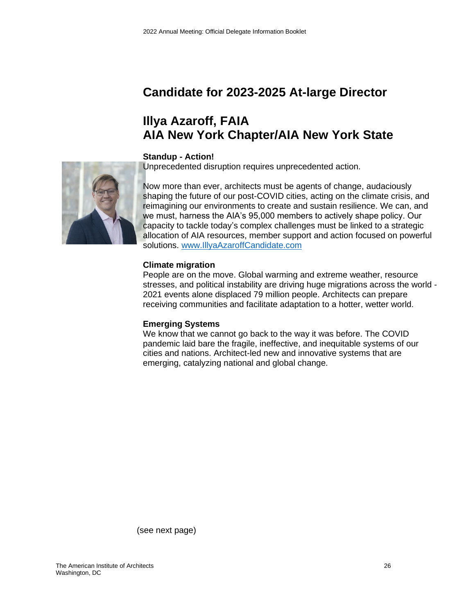# **Candidate for 2023-2025 At-large Director**

# **Illya Azaroff, FAIA AIA New York Chapter/AIA New York State**

### **Standup - Action!**

Unprecedented disruption requires unprecedented action.



Now more than ever, architects must be agents of change, audaciously shaping the future of our post-COVID cities, acting on the climate crisis, and reimagining our environments to create and sustain resilience. We can, and we must, harness the AIA's 95,000 members to actively shape policy. Our capacity to tackle today's complex challenges must be linked to a strategic allocation of AIA resources, member support and action focused on powerful solutions. [www.IllyaAzaroffCandidate.com](http://www.illyaazaroffcandidate.com/)

### **Climate migration**

People are on the move. Global warming and extreme weather, resource stresses, and political instability are driving huge migrations across the world - 2021 events alone displaced 79 million people. Architects can prepare receiving communities and facilitate adaptation to a hotter, wetter world.

### **Emerging Systems**

We know that we cannot go back to the way it was before. The COVID pandemic laid bare the fragile, ineffective, and inequitable systems of our cities and nations. Architect-led new and innovative systems that are emerging, catalyzing national and global change.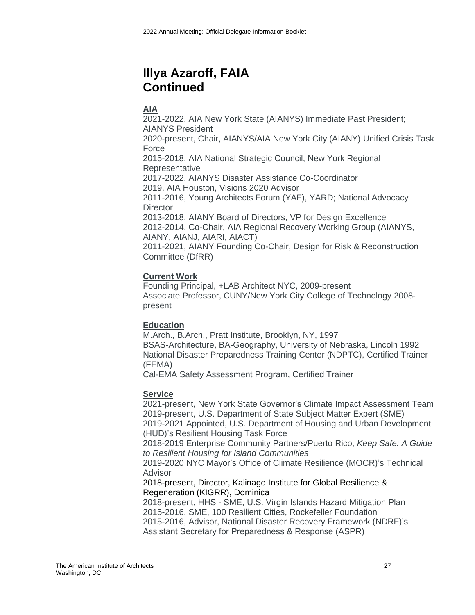# **Illya Azaroff, FAIA Continued**

### **AIA**

2021-2022, AIA New York State (AIANYS) Immediate Past President; AIANYS President 2020-present, Chair, AIANYS/AIA New York City (AIANY) Unified Crisis Task Force 2015-2018, AIA National Strategic Council, New York Regional **Representative** 2017-2022, AIANYS Disaster Assistance Co-Coordinator 2019, AIA Houston, Visions 2020 Advisor 2011-2016, Young Architects Forum (YAF), YARD; National Advocacy **Director** 2013-2018, AIANY Board of Directors, VP for Design Excellence 2012-2014, Co-Chair, AIA Regional Recovery Working Group (AIANYS, AIANY, AIANJ, AIARI, AIACT) 2011-2021, AIANY Founding Co-Chair, Design for Risk & Reconstruction Committee (DfRR)

### **Current Work**

Founding Principal, +LAB Architect NYC, 2009-present Associate Professor, CUNY/New York City College of Technology 2008 present

### **Education**

M.Arch., B.Arch., Pratt Institute, Brooklyn, NY, 1997 BSAS-Architecture, BA-Geography, University of Nebraska, Lincoln 1992 National Disaster Preparedness Training Center (NDPTC), Certified Trainer (FEMA)

Cal-EMA Safety Assessment Program, Certified Trainer

### **Service**

2021-present, New York State Governor's Climate Impact Assessment Team 2019-present, U.S. Department of State Subject Matter Expert (SME) 2019-2021 Appointed, U.S. Department of Housing and Urban Development (HUD)'s Resilient Housing Task Force

2018-2019 Enterprise Community Partners/Puerto Rico, *Keep Safe: A Guide to Resilient Housing for Island Communities*

2019-2020 NYC Mayor's Office of Climate Resilience (MOCR)'s Technical Advisor

2018-present, Director, Kalinago Institute for Global Resilience & Regeneration (KIGRR), Dominica

2018-present, HHS - SME, U.S. Virgin Islands Hazard Mitigation Plan 2015-2016, SME, 100 Resilient Cities, Rockefeller Foundation 2015-2016, Advisor, National Disaster Recovery Framework (NDRF)'s Assistant Secretary for Preparedness & Response (ASPR)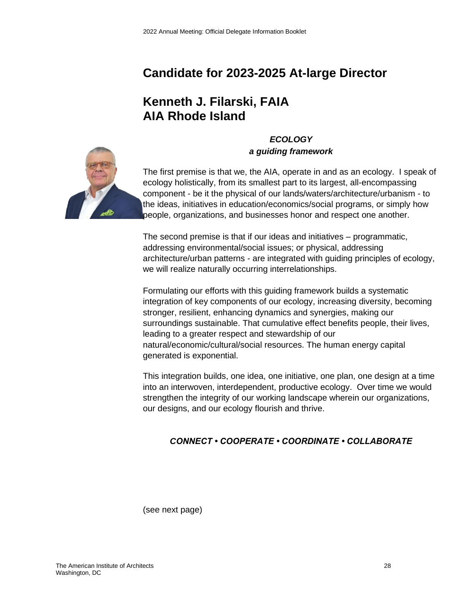# **Candidate for 2023-2025 At-large Director**

# **Kenneth J. Filarski, FAIA AIA Rhode Island**



*ECOLOGY a guiding framework*

The first premise is that we, the AIA, operate in and as an ecology. I speak of ecology holistically, from its smallest part to its largest, all-encompassing component - be it the physical of our lands/waters/architecture/urbanism - to the ideas, initiatives in education/economics/social programs, or simply how people, organizations, and businesses honor and respect one another.

The second premise is that if our ideas and initiatives – programmatic, addressing environmental/social issues; or physical, addressing architecture/urban patterns - are integrated with guiding principles of ecology, we will realize naturally occurring interrelationships.

Formulating our efforts with this guiding framework builds a systematic integration of key components of our ecology, increasing diversity, becoming stronger, resilient, enhancing dynamics and synergies, making our surroundings sustainable. That cumulative effect benefits people, their lives, leading to a greater respect and stewardship of our natural/economic/cultural/social resources. The human energy capital generated is exponential.

This integration builds, one idea, one initiative, one plan, one design at a time into an interwoven, interdependent, productive ecology. Over time we would strengthen the integrity of our working landscape wherein our organizations, our designs, and our ecology flourish and thrive.

### *CONNECT • COOPERATE • COORDINATE • COLLABORATE*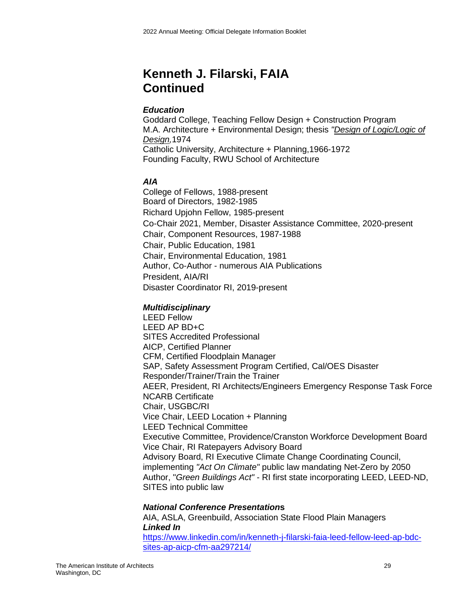# **Kenneth J. Filarski, FAIA Continued**

### *Education*

Goddard College, Teaching Fellow Design + Construction Program M.A. Architecture + Environmental Design; thesis *"Design of Logic/Logic of Design,*1974 Catholic University, Architecture + Planning,1966-1972 Founding Faculty, RWU School of Architecture

### *AIA*

College of Fellows, 1988-present Board of Directors, 1982-1985 Richard Upjohn Fellow, 1985-present Co-Chair 2021, Member, Disaster Assistance Committee, 2020-present Chair, Component Resources, 1987-1988 Chair, Public Education, 1981 Chair, Environmental Education, 1981 Author, Co-Author - numerous AIA Publications President, AIA/RI Disaster Coordinator RI, 2019-present

### *Multidisciplinary*

LEED Fellow LEED AP BD+C SITES Accredited Professional AICP, Certified Planner CFM, Certified Floodplain Manager SAP, Safety Assessment Program Certified, Cal/OES Disaster Responder/Trainer/Train the Trainer AEER, President, RI Architects/Engineers Emergency Response Task Force NCARB Certificate Chair, USGBC/RI Vice Chair, LEED Location + Planning LEED Technical Committee Executive Committee, Providence/Cranston Workforce Development Board Vice Chair, RI Ratepayers Advisory Board Advisory Board, RI Executive Climate Change Coordinating Council, implementing *"Act On Climate"* public law mandating Net-Zero by 2050 Author, "*Green Buildings Act"* - RI first state incorporating LEED, LEED-ND, SITES into public law

### *National Conference Presentation***s**

AIA, ASLA, Greenbuild, Association State Flood Plain Managers *Linked In* [https://www.linkedin.com/in/kenneth-j-filarski-faia-leed-fellow-leed-ap-bdc](https://www.linkedin.com/in/kenneth-j-filarski-faia-leed-fellow-leed-ap-bdc-sites-ap-aicp-cfm-aa297214/)[sites-ap-aicp-cfm-aa297214/](https://www.linkedin.com/in/kenneth-j-filarski-faia-leed-fellow-leed-ap-bdc-sites-ap-aicp-cfm-aa297214/)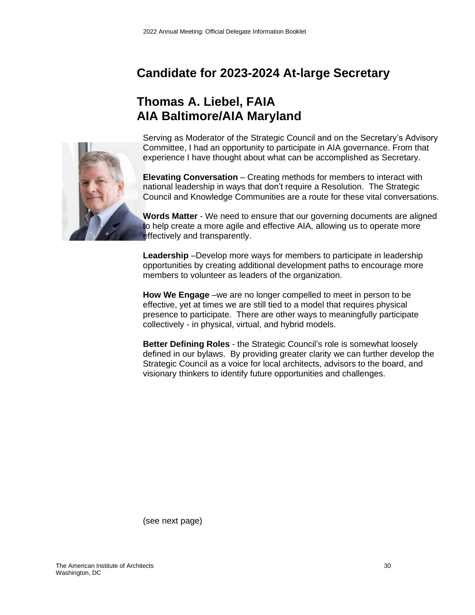# **Candidate for 2023-2024 At-large Secretary**

# **Thomas A. Liebel, FAIA AIA Baltimore/AIA Maryland**



Serving as Moderator of the Strategic Council and on the Secretary's Advisory Committee, I had an opportunity to participate in AIA governance. From that experience I have thought about what can be accomplished as Secretary.

**Elevating Conversation** – Creating methods for members to interact with national leadership in ways that don't require a Resolution. The Strategic Council and Knowledge Communities are a route for these vital conversations.

**Words Matter** - We need to ensure that our governing documents are aligned to help create a more agile and effective AIA, allowing us to operate more effectively and transparently.

**Leadership** –Develop more ways for members to participate in leadership opportunities by creating additional development paths to encourage more members to volunteer as leaders of the organization.

**How We Engage** –we are no longer compelled to meet in person to be effective, yet at times we are still tied to a model that requires physical presence to participate. There are other ways to meaningfully participate collectively - in physical, virtual, and hybrid models.

**Better Defining Roles** - the Strategic Council's role is somewhat loosely defined in our bylaws. By providing greater clarity we can further develop the Strategic Council as a voice for local architects, advisors to the board, and visionary thinkers to identify future opportunities and challenges.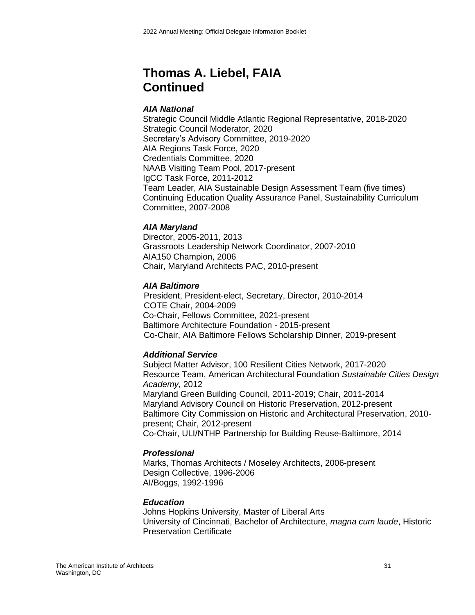## **Thomas A. Liebel, FAIA Continued**

### *AIA National*

Strategic Council Middle Atlantic Regional Representative, 2018-2020 Strategic Council Moderator, 2020 Secretary's Advisory Committee, 2019-2020 AIA Regions Task Force, 2020 Credentials Committee, 2020 NAAB Visiting Team Pool, 2017-present IgCC Task Force, 2011-2012 Team Leader, AIA Sustainable Design Assessment Team (five times) Continuing Education Quality Assurance Panel, Sustainability Curriculum Committee, 2007-2008

### *AIA Maryland*

Director, 2005-2011, 2013 Grassroots Leadership Network Coordinator, 2007-2010 AIA150 Champion, 2006 Chair, Maryland Architects PAC, 2010-present

### *AIA Baltimore*

President, President-elect, Secretary, Director, 2010-2014 COTE Chair, 2004-2009 Co-Chair, Fellows Committee, 2021-present Baltimore Architecture Foundation - 2015-present Co-Chair, AIA Baltimore Fellows Scholarship Dinner, 2019-present

### *Additional Service*

Subject Matter Advisor, 100 Resilient Cities Network, 2017-2020 Resource Team, American Architectural Foundation *Sustainable Cities Design Academy,* 2012 Maryland Green Building Council, 2011-2019; Chair, 2011-2014 Maryland Advisory Council on Historic Preservation, 2012-present Baltimore City Commission on Historic and Architectural Preservation, 2010 present; Chair, 2012-present Co-Chair, ULI/NTHP Partnership for Building Reuse-Baltimore, 2014

### *Professional*

Marks, Thomas Architects / Moseley Architects, 2006-present Design Collective, 1996-2006 AI/Boggs, 1992-1996

### *Education*

Johns Hopkins University, Master of Liberal Arts University of Cincinnati, Bachelor of Architecture, *magna cum laude*, Historic Preservation Certificate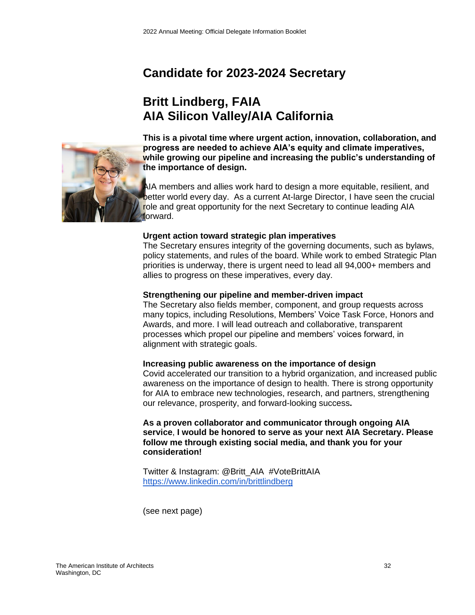# **Candidate for 2023-2024 Secretary**

# **Britt Lindberg, FAIA AIA Silicon Valley/AIA California**



**This is a pivotal time where urgent action, innovation, collaboration, and progress are needed to achieve AIA's equity and climate imperatives, while growing our pipeline and increasing the public's understanding of the importance of design.** 

AIA members and allies work hard to design a more equitable, resilient, and better world every day. As a current At-large Director, I have seen the crucial role and great opportunity for the next Secretary to continue leading AIA forward.

### **Urgent action toward strategic plan imperatives**

The Secretary ensures integrity of the governing documents, such as bylaws, policy statements, and rules of the board. While work to embed Strategic Plan priorities is underway, there is urgent need to lead all 94,000+ members and allies to progress on these imperatives, every day.

### **Strengthening our pipeline and member-driven impact**

The Secretary also fields member, component, and group requests across many topics, including Resolutions, Members' Voice Task Force, Honors and Awards, and more. I will lead outreach and collaborative, transparent processes which propel our pipeline and members' voices forward, in alignment with strategic goals.

### **Increasing public awareness on the importance of design**

Covid accelerated our transition to a hybrid organization, and increased public awareness on the importance of design to health. There is strong opportunity for AIA to embrace new technologies, research, and partners, strengthening our relevance, prosperity, and forward-looking success**.**

### **As a proven collaborator and communicator through ongoing AIA service**, **I would be honored to serve as your next AIA Secretary. Please follow me through existing social media, and thank you for your consideration!**

Twitter & Instagram: @Britt\_AIA #VoteBrittAIA <https://www.linkedin.com/in/brittlindberg>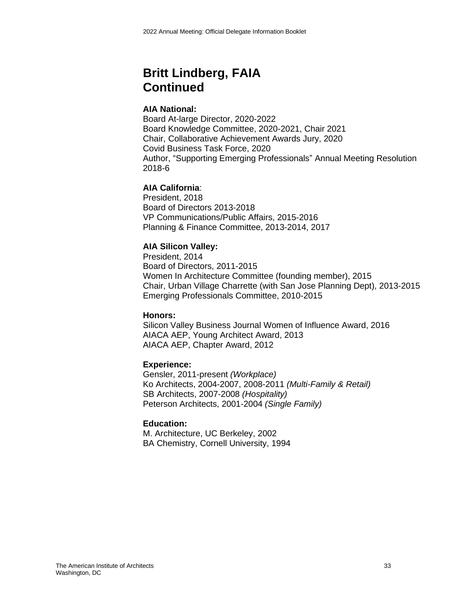# **Britt Lindberg, FAIA Continued**

### **AIA National:**

Board At-large Director, 2020-2022 Board Knowledge Committee, 2020-2021, Chair 2021 Chair, Collaborative Achievement Awards Jury, 2020 Covid Business Task Force, 2020 Author, "Supporting Emerging Professionals" Annual Meeting Resolution 2018-6

### **AIA California**:

President, 2018 Board of Directors 2013-2018 VP Communications/Public Affairs, 2015-2016 Planning & Finance Committee, 2013-2014, 2017

### **AIA Silicon Valley:**

President, 2014 Board of Directors, 2011-2015 Women In Architecture Committee (founding member), 2015 Chair, Urban Village Charrette (with San Jose Planning Dept), 2013-2015 Emerging Professionals Committee, 2010-2015

### **Honors:**

Silicon Valley Business Journal Women of Influence Award, 2016 AIACA AEP, Young Architect Award, 2013 AIACA AEP, Chapter Award, 2012

### **Experience:**

Gensler, 2011-present *(Workplace)* Ko Architects, 2004-2007, 2008-2011 *(Multi-Family & Retail)* SB Architects, 2007-2008 *(Hospitality)* Peterson Architects, 2001-2004 *(Single Family)*

### **Education:**

M. Architecture, UC Berkeley, 2002 BA Chemistry, Cornell University, 1994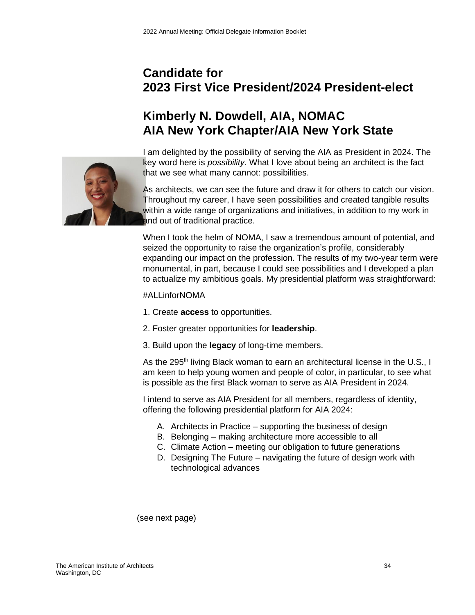# **Candidate for 2023 First Vice President/2024 President-elect**

# **Kimberly N. Dowdell, AIA, NOMAC AIA New York Chapter/AIA New York State**



I am delighted by the possibility of serving the AIA as President in 2024. The key word here is *possibility*. What I love about being an architect is the fact that we see what many cannot: possibilities.

As architects, we can see the future and draw it for others to catch our vision. Throughout my career, I have seen possibilities and created tangible results within a wide range of organizations and initiatives, in addition to my work in and out of traditional practice.

When I took the helm of NOMA, I saw a tremendous amount of potential, and seized the opportunity to raise the organization's profile, considerably expanding our impact on the profession. The results of my two-year term were monumental, in part, because I could see possibilities and I developed a plan to actualize my ambitious goals. My presidential platform was straightforward:

### #ALLinforNOMA

- 1. Create **access** to opportunities.
- 2. Foster greater opportunities for **leadership**.
- 3. Build upon the **legacy** of long-time members.

As the 295<sup>th</sup> living Black woman to earn an architectural license in the U.S., I am keen to help young women and people of color, in particular, to see what is possible as the first Black woman to serve as AIA President in 2024.

I intend to serve as AIA President for all members, regardless of identity, offering the following presidential platform for AIA 2024:

- A. Architects in Practice supporting the business of design
- B. Belonging making architecture more accessible to all
- C. Climate Action meeting our obligation to future generations
- D. Designing The Future navigating the future of design work with technological advances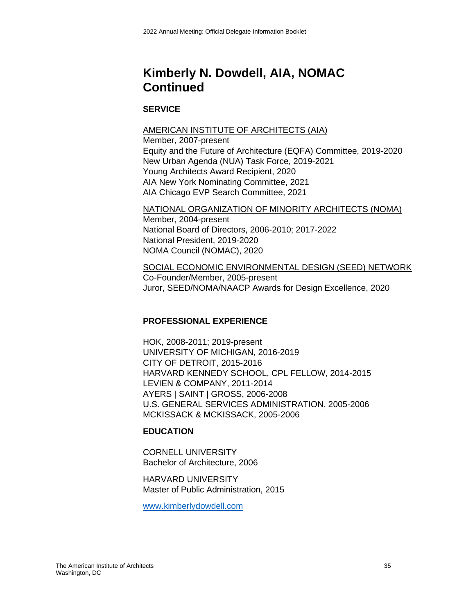# **Kimberly N. Dowdell, AIA, NOMAC Continued**

### **SERVICE**

### AMERICAN INSTITUTE OF ARCHITECTS (AIA)

Member, 2007-present Equity and the Future of Architecture (EQFA) Committee, 2019-2020 New Urban Agenda (NUA) Task Force, 2019-2021 Young Architects Award Recipient, 2020 AIA New York Nominating Committee, 2021 AIA Chicago EVP Search Committee, 2021

### NATIONAL ORGANIZATION OF MINORITY ARCHITECTS (NOMA)

Member, 2004-present National Board of Directors, 2006-2010; 2017-2022 National President, 2019-2020 NOMA Council (NOMAC), 2020

### SOCIAL ECONOMIC ENVIRONMENTAL DESIGN (SEED) NETWORK Co-Founder/Member, 2005-present Juror, SEED/NOMA/NAACP Awards for Design Excellence, 2020

### **PROFESSIONAL EXPERIENCE**

HOK, 2008-2011; 2019-present UNIVERSITY OF MICHIGAN, 2016-2019 CITY OF DETROIT, 2015-2016 HARVARD KENNEDY SCHOOL, CPL FELLOW, 2014-2015 LEVIEN & COMPANY, 2011-2014 AYERS | SAINT | GROSS, 2006-2008 U.S. GENERAL SERVICES ADMINISTRATION, 2005-2006 MCKISSACK & MCKISSACK, 2005-2006

### **EDUCATION**

CORNELL UNIVERSITY Bachelor of Architecture, 2006

HARVARD UNIVERSITY Master of Public Administration, 2015

[www.kimberlydowdell.com](https://linkprotect.cudasvc.com/url?a=http%3a%2f%2fwww.kimberlydowdell.com&c=E,1,99MpRGA0BIAIeTf9kDX5fFYUzR3BgPIXIUiyJW21KqcCVSdBQoZoZs9rmYzE5tgTGlrYlo3oX1-s20SuLybNkWTga4GTdpY6ObVPUE41f6yBiL5Dx38HFCgzwreU&typo=1)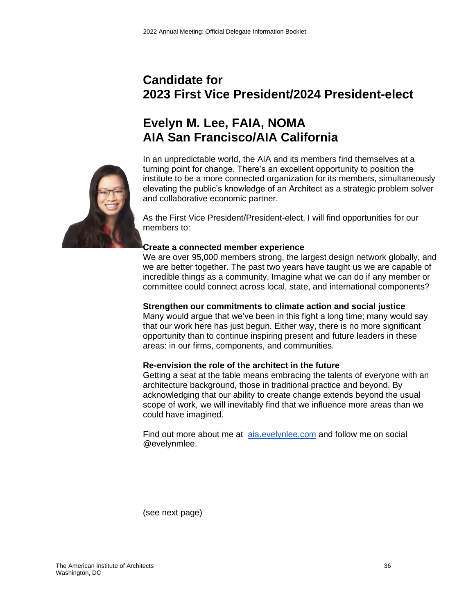# **Candidate for 2023 First Vice President/2024 President-elect**

# **Evelyn M. Lee, FAIA, NOMA AIA San Francisco/AIA California**



In an unpredictable world, the AIA and its members find themselves at a turning point for change. There's an excellent opportunity to position the institute to be a more connected organization for its members, simultaneously elevating the public's knowledge of an Architect as a strategic problem solver and collaborative economic partner.

As the First Vice President/President-elect, I will find opportunities for our members to:

### **Create a connected member experience**

We are over 95,000 members strong, the largest design network globally, and we are better together. The past two years have taught us we are capable of incredible things as a community. Imagine what we can do if any member or committee could connect across local, state, and international components?

### **Strengthen our commitments to climate action and social justice**

Many would argue that we've been in this fight a long time; many would say that our work here has just begun. Either way, there is no more significant opportunity than to continue inspiring present and future leaders in these areas: in our firms, components, and communities.

### **Re-envision the role of the architect in the future**

Getting a seat at the table means embracing the talents of everyone with an architecture background, those in traditional practice and beyond. By acknowledging that our ability to create change extends beyond the usual scope of work, we will inevitably find that we influence more areas than we could have imagined.

Find out more about me at [aia.evelynlee.com](http://aia.evelynlee.com/) and follow me on social @evelynmlee.